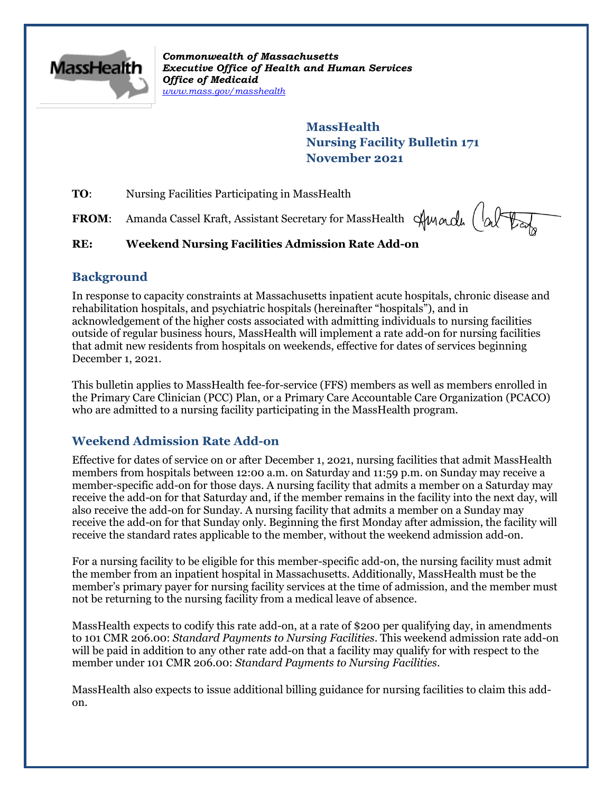

*Commonwealth of Massachusetts Executive Office of Health and Human Services Office of Medicaid [www.mass.gov/masshealth](http://www.mass.gov/masshealth)*

> **MassHealth Nursing Facility Bulletin 171 November 2021**

**TO:** Nursing Facilities Participating in MassHealth

FROM: Amanda Cassel Kraft, Assistant Secretary for MassHealth Amade (alter

### **RE: Weekend Nursing Facilities Admission Rate Add-on**

### **Background**

In response to capacity constraints at Massachusetts inpatient acute hospitals, chronic disease and rehabilitation hospitals, and psychiatric hospitals (hereinafter "hospitals"), and in acknowledgement of the higher costs associated with admitting individuals to nursing facilities outside of regular business hours, MassHealth will implement a rate add-on for nursing facilities that admit new residents from hospitals on weekends, effective for dates of services beginning December 1, 2021.

This bulletin applies to MassHealth fee-for-service (FFS) members as well as members enrolled in the Primary Care Clinician (PCC) Plan, or a Primary Care Accountable Care Organization (PCACO) who are admitted to a nursing facility participating in the MassHealth program.

# **Weekend Admission Rate Add-on**

Effective for dates of service on or after December 1, 2021, nursing facilities that admit MassHealth members from hospitals between 12:00 a.m. on Saturday and 11:59 p.m. on Sunday may receive a member-specific add-on for those days. A nursing facility that admits a member on a Saturday may receive the add-on for that Saturday and, if the member remains in the facility into the next day, will also receive the add-on for Sunday. A nursing facility that admits a member on a Sunday may receive the add-on for that Sunday only. Beginning the first Monday after admission, the facility will receive the standard rates applicable to the member, without the weekend admission add-on.

For a nursing facility to be eligible for this member-specific add-on, the nursing facility must admit the member from an inpatient hospital in Massachusetts. Additionally, MassHealth must be the member's primary payer for nursing facility services at the time of admission, and the member must not be returning to the nursing facility from a medical leave of absence.

MassHealth expects to codify this rate add-on, at a rate of \$200 per qualifying day, in amendments to 101 CMR 206.00: *Standard Payments to Nursing Facilities*. This weekend admission rate add-on will be paid in addition to any other rate add-on that a facility may qualify for with respect to the member under 101 CMR 206.00: *Standard Payments to Nursing Facilities*.

MassHealth also expects to issue additional billing guidance for nursing facilities to claim this addon.